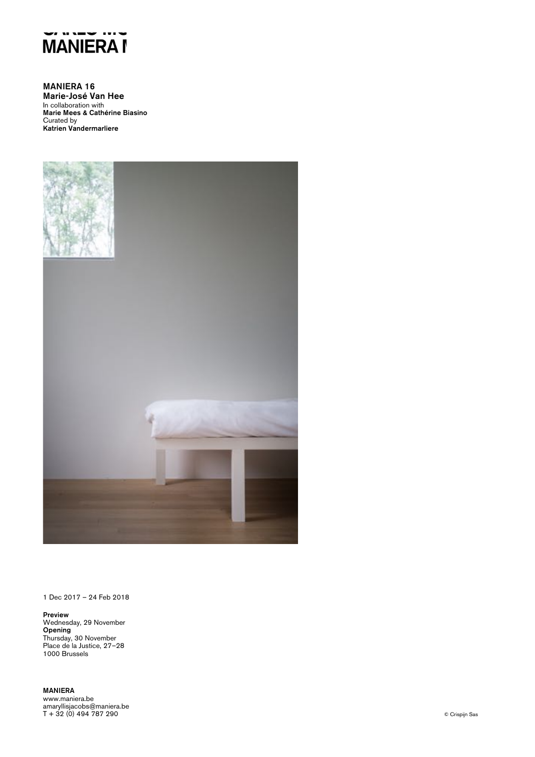

MANIERA 16 Marie-José Van Hee In collaboration with Marie Mees & Cathérine Biasino Curated by Katrien Vandermarliere



1 Dec 2017 – 24 Feb 2018

Preview Wednesday, 29 November Opening Thursday, 30 November Place de la Justice, 27–28 1000 Brussels

MANIERA www.maniera.be amaryllisjacobs@maniera.be T + 32 (0) 494 787 290 © Crispijn Sas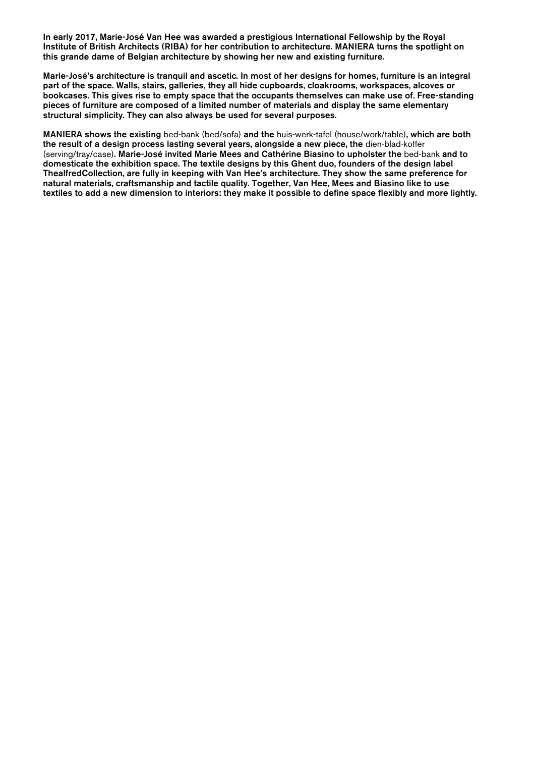In early 2017, Marie-José Van Hee was awarded a prestigious International Fellowship by the Royal Institute of British Architects (RIBA) for her contribution to architecture. MANIERA turns the spotlight on this grande dame of Belgian architecture by showing her new and existing furniture.

Marie-José's architecture is tranquil and ascetic. In most of her designs for homes, furniture is an integral part of the space. Walls, stairs, galleries, they all hide cupboards, cloakrooms, workspaces, alcoves or bookcases. This gives rise to empty space that the occupants themselves can make use of. Free-standing pieces of furniture are composed of a limited number of materials and display the same elementary structural simplicity. They can also always be used for several purposes.

MANIERA shows the existing bed-bank (bed/sofa) and the huis-werk-tafel (house/work/table), which are both the result of a design process lasting several years, alongside a new piece, the dien-blad-koffer (serving/tray/case). Marie-José invited Marie Mees and Cathérine Biasino to upholster the bed-bank and to domesticate the exhibition space. The textile designs by this Ghent duo, founders of the design label ThealfredCollection, are fully in keeping with Van Hee's architecture. They show the same preference for natural materials, craftsmanship and tactile quality. Together, Van Hee, Mees and Biasino like to use textiles to add a new dimension to interiors: they make it possible to define space flexibly and more lightly.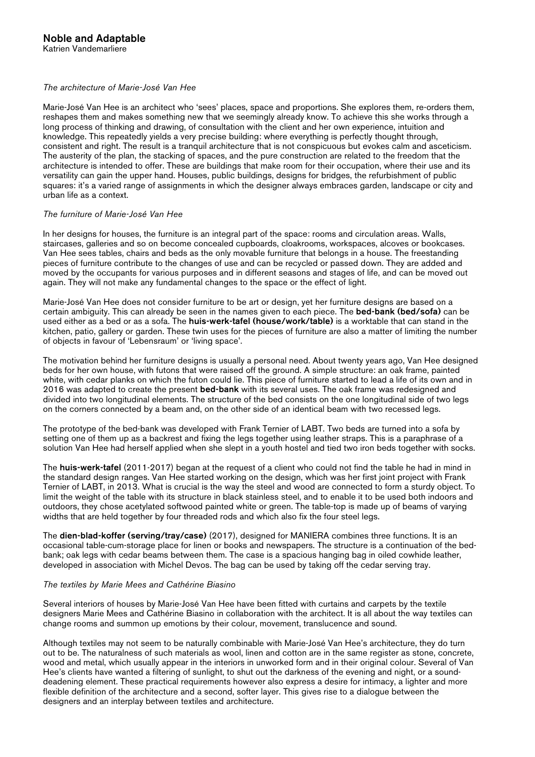## *The architecture of Marie-José Van Hee*

Marie-José Van Hee is an architect who 'sees' places, space and proportions. She explores them, re-orders them, reshapes them and makes something new that we seemingly already know. To achieve this she works through a long process of thinking and drawing, of consultation with the client and her own experience, intuition and knowledge. This repeatedly yields a very precise building: where everything is perfectly thought through, consistent and right. The result is a tranquil architecture that is not conspicuous but evokes calm and asceticism. The austerity of the plan, the stacking of spaces, and the pure construction are related to the freedom that the architecture is intended to offer. These are buildings that make room for their occupation, where their use and its versatility can gain the upper hand. Houses, public buildings, designs for bridges, the refurbishment of public squares: it's a varied range of assignments in which the designer always embraces garden, landscape or city and urban life as a context.

## *The furniture of Marie-José Van Hee*

In her designs for houses, the furniture is an integral part of the space: rooms and circulation areas. Walls, staircases, galleries and so on become concealed cupboards, cloakrooms, workspaces, alcoves or bookcases. Van Hee sees tables, chairs and beds as the only movable furniture that belongs in a house. The freestanding pieces of furniture contribute to the changes of use and can be recycled or passed down. They are added and moved by the occupants for various purposes and in different seasons and stages of life, and can be moved out again. They will not make any fundamental changes to the space or the effect of light.

Marie-José Van Hee does not consider furniture to be art or design, yet her furniture designs are based on a certain ambiguity. This can already be seen in the names given to each piece. The bed-bank (bed/sofa) can be used either as a bed or as a sofa. The huis-werk-tafel (house/work/table) is a worktable that can stand in the kitchen, patio, gallery or garden. These twin uses for the pieces of furniture are also a matter of limiting the number of objects in favour of 'Lebensraum' or 'living space'.

The motivation behind her furniture designs is usually a personal need. About twenty years ago, Van Hee designed beds for her own house, with futons that were raised off the ground. A simple structure: an oak frame, painted white, with cedar planks on which the futon could lie. This piece of furniture started to lead a life of its own and in 2016 was adapted to create the present **bed-bank** with its several uses. The oak frame was redesigned and divided into two longitudinal elements. The structure of the bed consists on the one longitudinal side of two legs on the corners connected by a beam and, on the other side of an identical beam with two recessed legs.

The prototype of the bed-bank was developed with Frank Ternier of LABT. Two beds are turned into a sofa by setting one of them up as a backrest and fixing the legs together using leather straps. This is a paraphrase of a solution Van Hee had herself applied when she slept in a youth hostel and tied two iron beds together with socks.

The huis-werk-tafel (2011-2017) began at the request of a client who could not find the table he had in mind in the standard design ranges. Van Hee started working on the design, which was her first joint project with Frank Ternier of LABT, in 2013. What is crucial is the way the steel and wood are connected to form a sturdy object. To limit the weight of the table with its structure in black stainless steel, and to enable it to be used both indoors and outdoors, they chose acetylated softwood painted white or green. The table-top is made up of beams of varying widths that are held together by four threaded rods and which also fix the four steel legs.

The dien-blad-koffer (serving/tray/case) (2017), designed for MANIERA combines three functions. It is an occasional table-cum-storage place for linen or books and newspapers. The structure is a continuation of the bedbank; oak legs with cedar beams between them. The case is a spacious hanging bag in oiled cowhide leather, developed in association with Michel Devos. The bag can be used by taking off the cedar serving tray.

### *The textiles by Marie Mees and Cathérine Biasino*

Several interiors of houses by Marie-José Van Hee have been fitted with curtains and carpets by the textile designers Marie Mees and Cathérine Biasino in collaboration with the architect. It is all about the way textiles can change rooms and summon up emotions by their colour, movement, translucence and sound.

Although textiles may not seem to be naturally combinable with Marie-José Van Hee's architecture, they do turn out to be. The naturalness of such materials as wool, linen and cotton are in the same register as stone, concrete, wood and metal, which usually appear in the interiors in unworked form and in their original colour. Several of Van Hee's clients have wanted a filtering of sunlight, to shut out the darkness of the evening and night, or a sounddeadening element. These practical requirements however also express a desire for intimacy, a lighter and more flexible definition of the architecture and a second, softer layer. This gives rise to a dialogue between the designers and an interplay between textiles and architecture.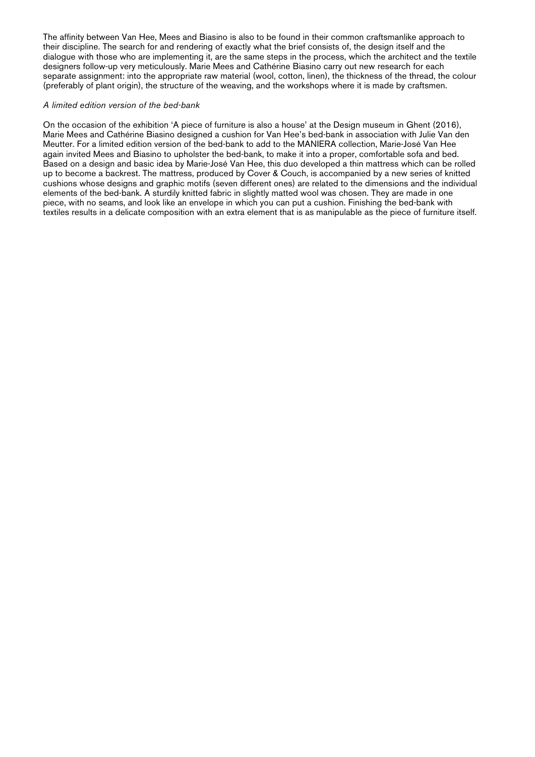The affinity between Van Hee, Mees and Biasino is also to be found in their common craftsmanlike approach to their discipline. The search for and rendering of exactly what the brief consists of, the design itself and the dialogue with those who are implementing it, are the same steps in the process, which the architect and the textile designers follow-up very meticulously. Marie Mees and Cathérine Biasino carry out new research for each separate assignment: into the appropriate raw material (wool, cotton, linen), the thickness of the thread, the colour (preferably of plant origin), the structure of the weaving, and the workshops where it is made by craftsmen.

### *A limited edition version of the bed-bank*

On the occasion of the exhibition 'A piece of furniture is also a house' at the Design museum in Ghent (2016), Marie Mees and Cathérine Biasino designed a cushion for Van Hee's bed-bank in association with Julie Van den Meutter. For a limited edition version of the bed-bank to add to the MANIERA collection, Marie-José Van Hee again invited Mees and Biasino to upholster the bed-bank, to make it into a proper, comfortable sofa and bed. Based on a design and basic idea by Marie-José Van Hee, this duo developed a thin mattress which can be rolled up to become a backrest. The mattress, produced by Cover & Couch, is accompanied by a new series of knitted cushions whose designs and graphic motifs (seven different ones) are related to the dimensions and the individual elements of the bed-bank. A sturdily knitted fabric in slightly matted wool was chosen. They are made in one piece, with no seams, and look like an envelope in which you can put a cushion. Finishing the bed-bank with textiles results in a delicate composition with an extra element that is as manipulable as the piece of furniture itself.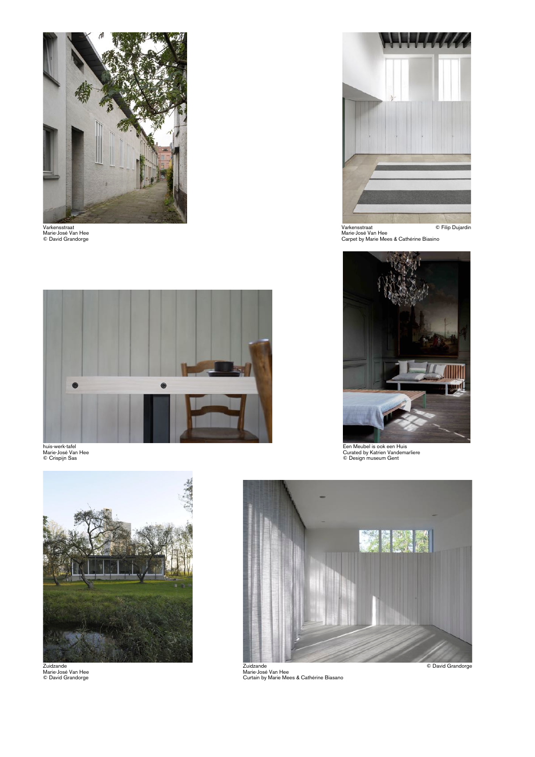



Varkensstraat © Filip Dujardin<br>Warkensstraat © Filip Dujardin<br>© David Grandorge Carpet by Marie Mees & Cathérine Biasino



huis-werk-tafel<br>Marie-José Van Hee Gente<br>© Orispijn Sas Genter Alexandemarliere is on the Curated by Katrien Van Hee Curated by Katrien Vandemarliere





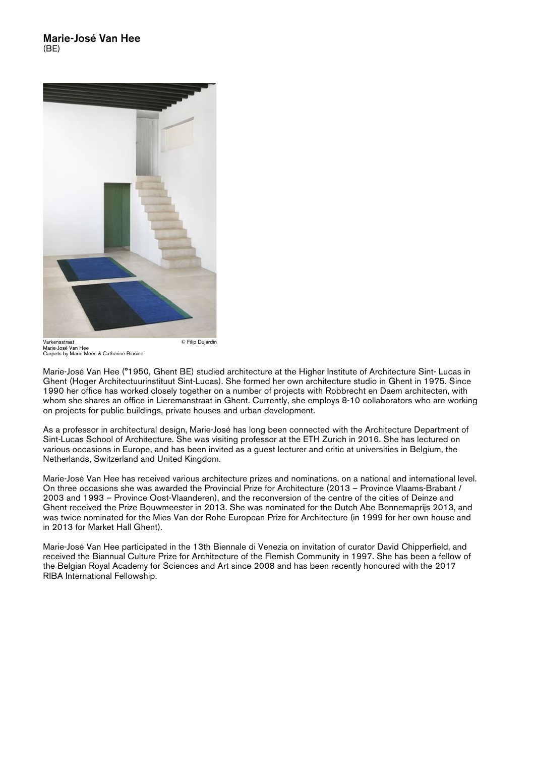

Marie-José Van Hee Carpets by Marie Mees & Cathérine Biasino

Marie-José Van Hee (°1950, Ghent BE) studied architecture at the Higher Institute of Architecture Sint- Lucas in Ghent (Hoger Architectuurinstituut Sint-Lucas). She formed her own architecture studio in Ghent in 1975. Since 1990 her office has worked closely together on a number of projects with Robbrecht en Daem architecten, with whom she shares an office in Lieremanstraat in Ghent. Currently, she employs 8-10 collaborators who are working on projects for public buildings, private houses and urban development.

As a professor in architectural design, Marie-José has long been connected with the Architecture Department of Sint-Lucas School of Architecture. She was visiting professor at the ETH Zurich in 2016. She has lectured on various occasions in Europe, and has been invited as a guest lecturer and critic at universities in Belgium, the Netherlands, Switzerland and United Kingdom.

Marie-José Van Hee has received various architecture prizes and nominations, on a national and international level. On three occasions she was awarded the Provincial Prize for Architecture (2013 – Province Vlaams-Brabant / 2003 and 1993 – Province Oost-Vlaanderen), and the reconversion of the centre of the cities of Deinze and Ghent received the Prize Bouwmeester in 2013. She was nominated for the Dutch Abe Bonnemaprijs 2013, and was twice nominated for the Mies Van der Rohe European Prize for Architecture (in 1999 for her own house and in 2013 for Market Hall Ghent).

Marie-José Van Hee participated in the 13th Biennale di Venezia on invitation of curator David Chipperfield, and received the Biannual Culture Prize for Architecture of the Flemish Community in 1997. She has been a fellow of the Belgian Royal Academy for Sciences and Art since 2008 and has been recently honoured with the 2017 RIBA International Fellowship.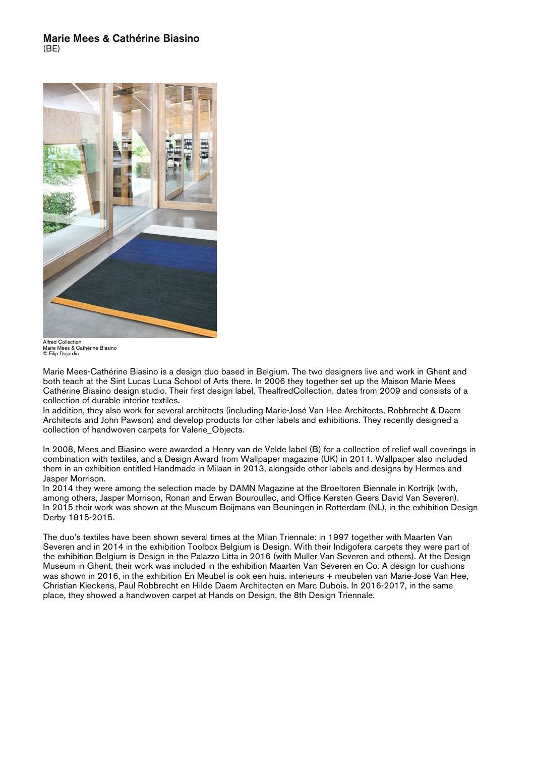## Marie Mees & Cathérine Biasino (BE)



Alfred Collection Marie Mees & Cathérine Biasino © Filip Dujardin

Marie Mees-Cathérine Biasino is a design duo based in Belgium. The two designers live and work in Ghent and both teach at the Sint Lucas Luca School of Arts there. In 2006 they together set up the Maison Marie Mees Cathérine Biasino design studio. Their first design label, ThealfredCollection, dates from 2009 and consists of a collection of durable interior textiles.

In addition, they also work for several architects (including Marie-José Van Hee Architects, Robbrecht & Daem Architects and John Pawson) and develop products for other labels and exhibitions. They recently designed a collection of handwoven carpets for Valerie\_Objects.

In 2008, Mees and Biasino were awarded a Henry van de Velde label (B) for a collection of relief wall coverings in combination with textiles, and a Design Award from Wallpaper magazine (UK) in 2011. Wallpaper also included them in an exhibition entitled Handmade in Milaan in 2013, alongside other labels and designs by Hermes and Jasper Morrison.

In 2014 they were among the selection made by DAMN Magazine at the Broeltoren Biennale in Kortrijk (with, among others, Jasper Morrison, Ronan and Erwan Bouroullec, and Office Kersten Geers David Van Severen). In 2015 their work was shown at the Museum Boijmans van Beuningen in Rotterdam (NL), in the exhibition Design Derby 1815-2015.

The duo's textiles have been shown several times at the Milan Triennale: in 1997 together with Maarten Van Severen and in 2014 in the exhibition Toolbox Belgium is Design. With their Indigofera carpets they were part of the exhibition Belgium is Design in the Palazzo Litta in 2016 (with Muller Van Severen and others). At the Design Museum in Ghent, their work was included in the exhibition Maarten Van Severen en Co. A design for cushions was shown in 2016, in the exhibition En Meubel is ook een huis. interieurs + meubelen van Marie-José Van Hee, Christian Kieckens, Paul Robbrecht en Hilde Daem Architecten en Marc Dubois. In 2016-2017, in the same place, they showed a handwoven carpet at Hands on Design, the 8th Design Triennale.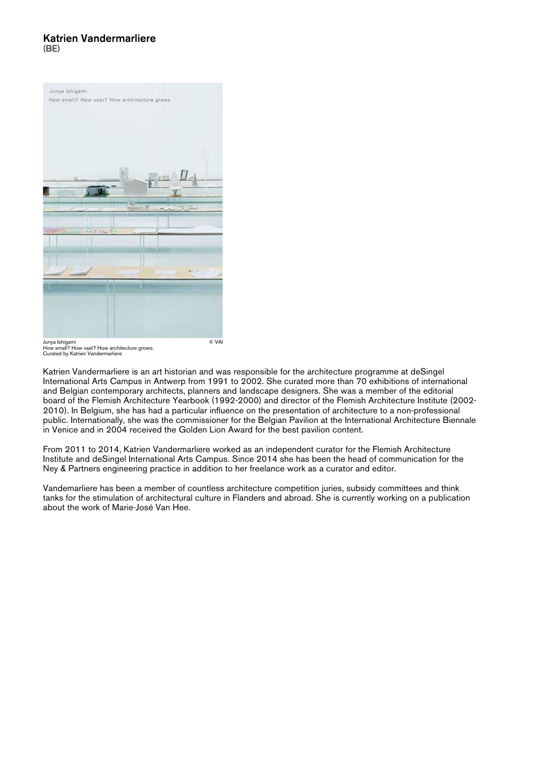## Katrien Vandermarliere  $(BF)$



Junya Ishigami © VAI How small? How vast? How architecture grows. Curated by Katrien Vandermarliere

Katrien Vandermarliere is an art historian and was responsible for the architecture programme at deSingel International Arts Campus in Antwerp from 1991 to 2002. She curated more than 70 exhibitions of international and Belgian contemporary architects, planners and landscape designers. She was a member of the editorial board of the Flemish Architecture Yearbook (1992-2000) and director of the Flemish Architecture Institute (2002- 2010). In Belgium, she has had a particular influence on the presentation of architecture to a non-professional public. Internationally, she was the commissioner for the Belgian Pavilion at the International Architecture Biennale in Venice and in 2004 received the Golden Lion Award for the best pavilion content.

From 2011 to 2014, Katrien Vandermarliere worked as an independent curator for the Flemish Architecture Institute and deSingel International Arts Campus. Since 2014 she has been the head of communication for the Ney & Partners engineering practice in addition to her freelance work as a curator and editor.

Vandemarliere has been a member of countless architecture competition juries, subsidy committees and think tanks for the stimulation of architectural culture in Flanders and abroad. She is currently working on a publication about the work of Marie-José Van Hee.